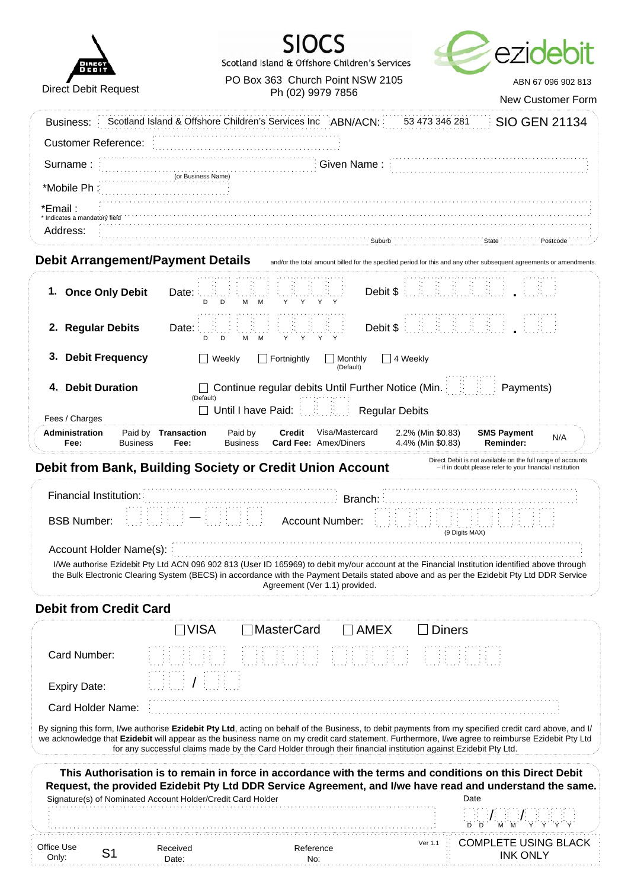| <b>DIRECT</b><br><b>DEBIT</b> |
|-------------------------------|
| <b>Direct Debit Request</b>   |

 $\overline{a}$ 





PO Box 363 Church Point NSW 2105 ABN 67 096 902 813 Ph (02) 9979 7856

New Customer Form

|                                                                                                                                                                                                                                                                                                            |                                    |                                                                                                                                                                                                                                                                                                                               |                                                                                                                    |                                        |                                                                                                                         | New Customer Form |
|------------------------------------------------------------------------------------------------------------------------------------------------------------------------------------------------------------------------------------------------------------------------------------------------------------|------------------------------------|-------------------------------------------------------------------------------------------------------------------------------------------------------------------------------------------------------------------------------------------------------------------------------------------------------------------------------|--------------------------------------------------------------------------------------------------------------------|----------------------------------------|-------------------------------------------------------------------------------------------------------------------------|-------------------|
| Business:                                                                                                                                                                                                                                                                                                  |                                    | Scotland Island & Offshore Children's Services Inc ABN/ACN:                                                                                                                                                                                                                                                                   |                                                                                                                    | 53 473 346 281                         | <b>SIO GEN 21134</b>                                                                                                    |                   |
| <b>Customer Reference:</b>                                                                                                                                                                                                                                                                                 |                                    |                                                                                                                                                                                                                                                                                                                               |                                                                                                                    |                                        |                                                                                                                         |                   |
| Surname:                                                                                                                                                                                                                                                                                                   |                                    |                                                                                                                                                                                                                                                                                                                               | Given Name:                                                                                                        |                                        |                                                                                                                         |                   |
| *Mobile Ph:                                                                                                                                                                                                                                                                                                | (or Business Name)                 |                                                                                                                                                                                                                                                                                                                               |                                                                                                                    |                                        |                                                                                                                         |                   |
| *Email :                                                                                                                                                                                                                                                                                                   |                                    |                                                                                                                                                                                                                                                                                                                               |                                                                                                                    |                                        |                                                                                                                         |                   |
| * Indicates a mandatory field<br>Address:                                                                                                                                                                                                                                                                  |                                    |                                                                                                                                                                                                                                                                                                                               | Suburb                                                                                                             |                                        | <b>State</b>                                                                                                            | Postcode          |
| <b>Debit Arrangement/Payment Details</b>                                                                                                                                                                                                                                                                   |                                    |                                                                                                                                                                                                                                                                                                                               | and/or the total amount billed for the specified period for this and any other subsequent agreements or amendments |                                        |                                                                                                                         |                   |
|                                                                                                                                                                                                                                                                                                            |                                    |                                                                                                                                                                                                                                                                                                                               |                                                                                                                    |                                        |                                                                                                                         |                   |
| 1. Once Only Debit                                                                                                                                                                                                                                                                                         | Date:<br>D<br>D                    | M<br>Υ<br>Y                                                                                                                                                                                                                                                                                                                   | Debit \$                                                                                                           |                                        |                                                                                                                         |                   |
| 2. Regular Debits                                                                                                                                                                                                                                                                                          | Date:<br>D<br>D                    | Y<br>Y<br>м<br>M<br>Y<br>Y                                                                                                                                                                                                                                                                                                    | Debit \$                                                                                                           |                                        |                                                                                                                         |                   |
| <b>Debit Frequency</b><br>3.                                                                                                                                                                                                                                                                               | Weekly                             | Fortnightly                                                                                                                                                                                                                                                                                                                   | 4 Weekly<br>Monthly<br>(Default)                                                                                   |                                        |                                                                                                                         |                   |
| <b>Debit Duration</b><br>4.                                                                                                                                                                                                                                                                                |                                    | Continue regular debits Until Further Notice (Min.                                                                                                                                                                                                                                                                            |                                                                                                                    |                                        | Payments)                                                                                                               |                   |
| Fees / Charges                                                                                                                                                                                                                                                                                             | (Default)                          | Until I have Paid:                                                                                                                                                                                                                                                                                                            | <b>Regular Debits</b>                                                                                              |                                        |                                                                                                                         |                   |
| Administration<br>Fee:<br><b>Business</b>                                                                                                                                                                                                                                                                  | Paid by <b>Transaction</b><br>Fee: | Paid by<br>Credit<br><b>Card Fee: Amex/Diners</b><br><b>Business</b>                                                                                                                                                                                                                                                          | Visa/Mastercard                                                                                                    | 2.2% (Min \$0.83)<br>4.4% (Min \$0.83) | <b>SMS Payment</b><br>Reminder:                                                                                         | N/A               |
| Debit from Bank, Building Society or Credit Union Account                                                                                                                                                                                                                                                  |                                    |                                                                                                                                                                                                                                                                                                                               |                                                                                                                    |                                        | Direct Debit is not available on the full range of accounts<br>- if in doubt please refer to your financial institution |                   |
| Financial Institution:<br><b>BSB Number:</b>                                                                                                                                                                                                                                                               |                                    | <b>Account Number:</b>                                                                                                                                                                                                                                                                                                        | Branch:                                                                                                            | (9 Digits MAX)                         |                                                                                                                         |                   |
| Account Holder Name(s):                                                                                                                                                                                                                                                                                    |                                    | I/We authorise Ezidebit Pty Ltd ACN 096 902 813 (User ID 165969) to debit my/our account at the Financial Institution identified above through<br>the Bulk Electronic Clearing System (BECS) in accordance with the Payment Details stated above and as per the Ezidebit Pty Ltd DDR Service<br>Agreement (Ver 1.1) provided. |                                                                                                                    |                                        |                                                                                                                         |                   |
| <b>Debit from Credit Card</b>                                                                                                                                                                                                                                                                              |                                    |                                                                                                                                                                                                                                                                                                                               |                                                                                                                    |                                        |                                                                                                                         |                   |
|                                                                                                                                                                                                                                                                                                            | $\Box$ VISA                        | <b>MasterCard</b>                                                                                                                                                                                                                                                                                                             | <b>AMEX</b>                                                                                                        | <b>Diners</b>                          |                                                                                                                         |                   |
| Card Number:                                                                                                                                                                                                                                                                                               |                                    |                                                                                                                                                                                                                                                                                                                               |                                                                                                                    |                                        |                                                                                                                         |                   |
| <b>Expiry Date:</b>                                                                                                                                                                                                                                                                                        |                                    |                                                                                                                                                                                                                                                                                                                               |                                                                                                                    |                                        |                                                                                                                         |                   |
| Card Holder Name:                                                                                                                                                                                                                                                                                          |                                    |                                                                                                                                                                                                                                                                                                                               |                                                                                                                    |                                        |                                                                                                                         |                   |
| By signing this form, I/we authorise Ezidebit Pty Ltd, acting on behalf of the Business, to debit payments from my specified credit card above, and I/<br>we acknowledge that Ezidebit will appear as the business name on my credit card statement. Furthermore, I/we agree to reimburse Ezidebit Pty Ltd |                                    | for any successful claims made by the Card Holder through their financial institution against Ezidebit Pty Ltd.                                                                                                                                                                                                               |                                                                                                                    |                                        |                                                                                                                         |                   |
|                                                                                                                                                                                                                                                                                                            |                                    | This Authorisation is to remain in force in accordance with the terms and conditions on this Direct Debit<br>Request, the provided Ezidebit Pty Ltd DDR Service Agreement, and I/we have read and understand the same.                                                                                                        |                                                                                                                    | Date                                   |                                                                                                                         |                   |
| Signature(s) of Nominated Account Holder/Credit Card Holder                                                                                                                                                                                                                                                |                                    |                                                                                                                                                                                                                                                                                                                               |                                                                                                                    |                                        |                                                                                                                         |                   |
|                                                                                                                                                                                                                                                                                                            |                                    |                                                                                                                                                                                                                                                                                                                               |                                                                                                                    | Ver 1.1                                | <b>COMPLETE USING BLACK</b>                                                                                             |                   |
| Office Use<br>S <sub>1</sub><br>Only:                                                                                                                                                                                                                                                                      | Received<br>Date:                  | Reference<br>No:                                                                                                                                                                                                                                                                                                              |                                                                                                                    |                                        | <b>INK ONLY</b>                                                                                                         |                   |